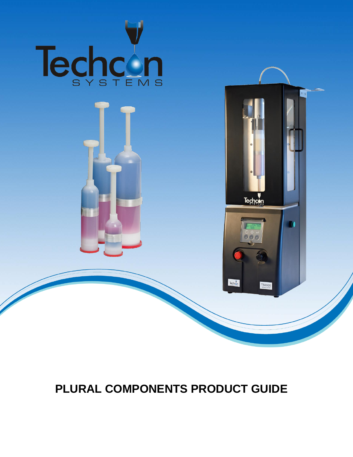

# **PLURAL COMPONENTS PRODUCT GUIDE**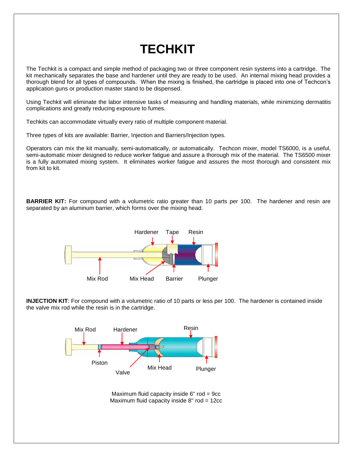# **TECHKIT**

The Techkit is a compact and simple method of packaging two or three component resin systems into a cartridge. The kit mechanically separates the base and hardener until they are ready to be used. An internal mixing head provides a thorough blend for all types of compounds. When the mixing is finished, the cartridge is placed into one of Techcon's application guns or production master stand to be dispensed.

Using Techkit will eliminate the labor intensive tasks of measuring and handling materials, while minimizing dermatitis complications and greatly reducing exposure to fumes.

Techkits can accommodate virtually every ratio of multiple component material.

Three types of kits are available: Barrier, Injection and Barriers/Injection types.

Operators can mix the kit manually, semi-automatically, or automatically. Techcon mixer, model TS6000, is a useful, semi-automatic mixer designed to reduce worker fatigue and assure a thorough mix of the material. The TS6500 mixer is a fully automated mixing system. It eliminates worker fatigue and assures the most thorough and consistent mix from kit to kit.

**BARRIER KIT:** For compound with a volumetric ratio greater than 10 parts per 100. The hardener and resin are separated by an aluminum barrier, which forms over the mixing head.



**INJECTION KIT**: For compound with a volumetric ratio of 10 parts or less per 100. The hardener is contained inside the valve mix rod while the resin is in the cartridge.



Maximum fluid capacity inside  $6''$  rod = 9cc Maximum fluid capacity inside 8" rod = 12cc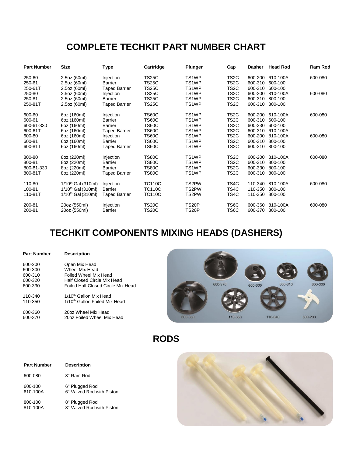## **COMPLETE TECHKIT PART NUMBER CHART**

| <b>Part Number</b> | <b>Size</b>             | Type                 | Cartridge     | <b>Plunger</b>     | Cap               | Dasher  | <b>Head Rod</b>  | <b>Ram Rod</b> |
|--------------------|-------------------------|----------------------|---------------|--------------------|-------------------|---------|------------------|----------------|
| 250-60             | 2.5oz (60ml)            | Injection            | TS25C         | TS <sub>1</sub> WP | TS <sub>2</sub> C |         | 600-200 610-100A | 600-080        |
| 250-61             | 2.5oz (60ml)            | <b>Barrier</b>       | <b>TS25C</b>  | TS <sub>1</sub> WP | TS2C              | 600-310 | 600-100          |                |
| 250-61T            | 2.5oz (60ml)            | <b>Taped Barrier</b> | <b>TS25C</b>  | TS <sub>1</sub> WP | TS <sub>2</sub> C | 600-310 | 600-100          |                |
| 250-80             | 2.5oz (60ml)            | Injection            | TS25C         | TS <sub>1</sub> WP | TS2C              | 600-200 | 810-100A         | 600-080        |
| 250-81             | 2.5oz (60ml)            | <b>Barrier</b>       | TS25C         | TS <sub>1</sub> WP | TS2C              | 600-310 | 800-100          |                |
| 250-81T            | 2.5oz (60ml)            | <b>Taped Barrier</b> | <b>TS25C</b>  | TS1WP              | TS2C              | 600-310 | 800-100          |                |
| 600-60             | 6oz (160ml)             | Injection            | TS60C         | TS1WP              | TS <sub>2</sub> C | 600-200 | 610-100A         | 600-080        |
| 600-61             | 6oz (160ml)             | Barrier              | <b>TS60C</b>  | TS <sub>1</sub> WP | TS2C              | 600-310 | 600-100          |                |
| 600-61-330         | 6oz (160ml)             | Barrier              | TS60C         | TS <sub>1</sub> WP | TS2C              | 600-330 | 600-100          |                |
| 600-61T            | 6oz (160ml)             | <b>Taped Barrier</b> | TS60C         | TS <sub>1</sub> WP | TS2C              | 600-310 | 610-100A         |                |
| 600-80             | 6oz (160ml)             | Injection            | <b>TS60C</b>  | TS1WP              | TS2C              | 600-200 | 810-100A         | 600-080        |
| 600-81             | 6oz (160ml)             | <b>Barrier</b>       | <b>TS60C</b>  | TS <sub>1</sub> WP | TS2C              | 600-310 | 800-100          |                |
| 600-81T            | 6oz (160ml)             | <b>Taped Barrier</b> | TS60C         | TS1WP              | TS2C              | 600-310 | 800-100          |                |
| 800-80             | 8oz (220ml)             | Injection            | <b>TS80C</b>  | TS <sub>1</sub> WP | TS2C              | 600-200 | 810-100A         | 600-080        |
| 800-81             | 8oz (220ml)             | <b>Barrier</b>       | <b>TS80C</b>  | TS1WP              | TS2C              | 600-310 | 800-100          |                |
| 800-81-330         | 8oz (220ml)             | Barrier              | TS80C         | TS <sub>1</sub> WP | TS <sub>2</sub> C | 600-330 | 800-100          |                |
| 800-81T            | 8oz (220ml)             | <b>Taped Barrier</b> | TS80C         | TS <sub>1</sub> WP | TS2C              | 600-310 | 800-100          |                |
| 110-80             | $1/10^{th}$ Gal (310ml) | Injection            | <b>TC110C</b> | TS2PW              | TS4C              | 110-340 | 810-100A         | 600-080        |
| 100-81             | $1/10^{th}$ Gal (310ml) | <b>Barrier</b>       | <b>TC110C</b> | TS2PW              | TS4C              | 110-350 | 800-100          |                |
| 110-81T            | $1/10^{th}$ Gal (310ml) | <b>Taped Barrier</b> | TC110C        | TS2PW              | TS4C              | 110-350 | 800-100          |                |
| 200-81             | 20oz (550ml)            | Injection            | <b>TS20C</b>  | <b>TS20P</b>       | TS6C              | 600-360 | 810-100A         | 600-080        |
| 200-81             | 20oz (550ml)            | <b>Barrier</b>       | <b>TS20C</b>  | TS20P              | TS6C              | 600-370 | 800-100          |                |

## **TECHKIT COMPONENTS MIXING HEADS (DASHERS)**

| <b>Part Number</b>                       | <b>Description</b>                                                                      |         |         |         |         |         |
|------------------------------------------|-----------------------------------------------------------------------------------------|---------|---------|---------|---------|---------|
| 600-200<br>600-300<br>600-310<br>600-320 | Open Mix Head<br>Wheel Mix Head<br>Foiled Wheel Mix Head<br>Half Closed Circle Mix Head |         |         |         |         |         |
| 600-330                                  | Foiled Half Closed Circle Mix Head                                                      |         | 600-370 | 600-330 | 600-310 | 600-300 |
| 110-340<br>110-350                       | 1/10 <sup>th</sup> Gallon Mix Head<br>1/10 <sup>th</sup> Gallon Foiled Mix Head         |         |         |         |         |         |
| 600-360<br>600-370                       | 20oz Wheel Mix Head<br>20oz Foiled Wheel Mix Head                                       | 600-360 | 110-350 | 110-340 |         | 600-200 |

**RODS**

| <b>Part Number</b> | <b>Description</b>        |
|--------------------|---------------------------|
| 600-080            | 8" Ram Rod                |
| 600-100            | 6" Plugged Rod            |
| 610-100A           | 6" Valved Rod with Piston |
| 800-100            | 8" Plugged Rod            |
| 810-100A           | 8" Valved Rod with Piston |

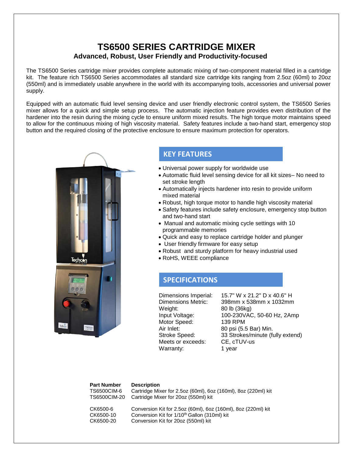#### **TS6500 SERIES CARTRIDGE MIXER Advanced, Robust, User Friendly and Productivity-focused**

The TS6500 Series cartridge mixer provides complete automatic mixing of two-component material filled in a cartridge kit. The feature rich TS6500 Series accommodates all standard size cartridge kits ranging from 2.5oz (60ml) to 20oz (550ml) and is immediately usable anywhere in the world with its accompanying tools, accessories and universal power supply.

Equipped with an automatic fluid level sensing device and user friendly electronic control system, the TS6500 Series mixer allows for a quick and simple setup process. The automatic injection feature provides even distribution of the hardener into the resin during the mixing cycle to ensure uniform mixed results. The high torque motor maintains speed to allow for the continuous mixing of high viscosity material. Safety features include a two-hand start, emergency stop button and the required closing of the protective enclosure to ensure maximum protection for operators.



#### **KEY FEATURES**

- Universal power supply for worldwide use
- Automatic fluid level sensing device for all kit sizes– No need to set stroke length
- Automatically injects hardener into resin to provide uniform mixed material
- Robust, high torque motor to handle high viscosity material
- Safety features include safety enclosure, emergency stop button and two-hand start
- Manual and automatic mixing cycle settings with 10 programmable memories
- Quick and easy to replace cartridge holder and plunger
- User friendly firmware for easy setup
- Robust and sturdy platform for heavy industrial used
- RoHS, WEEE compliance

#### **SPECIFICATIONS**

Weight: 80 lb (36kg) Motor Speed: 139 RPM Meets or exceeds: CE, cTUV-us Warranty: 1 year

Dimensions Imperial: 15.7'' W x 21.2'' D x 40.6'' H Dimensions Metric: 398mm x 538mm x 1032mm Input Voltage: 100-230VAC, 50-60 Hz, 2Amp Air Inlet: 80 psi (5.5 Bar) Min. Stroke Speed: 33 Strokes/minute (fully extend)

| <b>Part Number</b> | <b>Description</b>                                             |
|--------------------|----------------------------------------------------------------|
| <b>TS6500CIM-6</b> | Cartridge Mixer for 2.5oz (60ml), 6oz (160ml), 8oz (220ml) kit |
| TS6500CIM-20       | Cartridge Mixer for 20oz (550ml) kit                           |
| CK6500-6           | Conversion Kit for 2.5oz (60ml), 6oz (160ml), 8oz (220ml) kit  |
| CK6500-10          | Conversion Kit for 1/10 <sup>th</sup> Gallon (310ml) kit       |
| CK6500-20          | Conversion Kit for 20oz (550ml) kit                            |